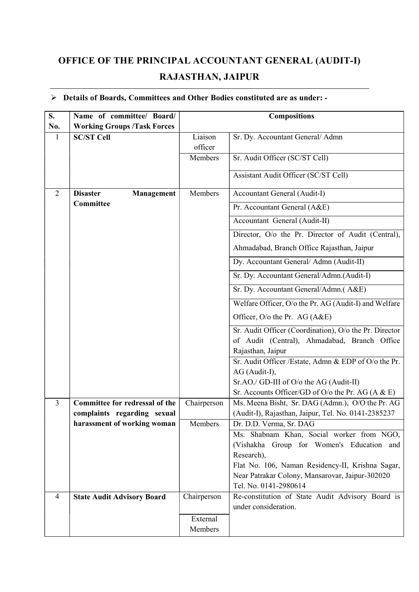## OFFICE OF THE PRINCIPAL ACCOUNTANT GENERAL (AUDIT-I) RAJASTHAN, JAIPUR

## Details of Boards, Committees and Other Bodies constituted are as under: -

| S.             | Name of committee/ Board/            |             | <b>Compositions</b>                                                                                 |  |
|----------------|--------------------------------------|-------------|-----------------------------------------------------------------------------------------------------|--|
| No.            | <b>Working Groups /Task Forces</b>   |             |                                                                                                     |  |
| $\mathbf{1}$   | <b>SC/ST Cell</b>                    | Liaison     | Sr. Dy. Accountant General/ Admn                                                                    |  |
|                |                                      | officer     |                                                                                                     |  |
|                |                                      | Members     | Sr. Audit Officer (SC/ST Cell)                                                                      |  |
|                |                                      |             | Assistant Audit Officer (SC/ST Cell)                                                                |  |
| 2              | <b>Disaster</b><br><b>Management</b> | Members     | Accountant General (Audit-I)                                                                        |  |
|                | Committee                            |             | Pr. Accountant General (A&E)                                                                        |  |
|                |                                      |             | Accountant General (Audit-II)                                                                       |  |
|                |                                      |             | Director, O/o the Pr. Director of Audit (Central),                                                  |  |
|                |                                      |             | Ahmadabad, Branch Office Rajasthan, Jaipur                                                          |  |
|                |                                      |             | Dy. Accountant General/ Admn (Audit-II)                                                             |  |
|                |                                      |             | Sr. Dy. Accountant General/Admn.(Audit-I)                                                           |  |
|                |                                      |             | Sr. Dy. Accountant General/Admn.(A&E)                                                               |  |
|                |                                      |             | Welfare Officer, O/o the Pr. AG (Audit-I) and Welfare                                               |  |
|                |                                      |             | Officer, O/o the Pr. AG (A&E)                                                                       |  |
|                |                                      |             | Sr. Audit Officer (Coordination), O/o the Pr. Director                                              |  |
|                |                                      |             | of Audit (Central), Ahmadabad, Branch Office                                                        |  |
|                |                                      |             | Rajasthan, Jaipur<br>Sr. Audit Officer / Estate, Admn & EDP of O/o the Pr.                          |  |
|                |                                      |             | AG (Audit-I),                                                                                       |  |
|                |                                      |             | Sr.AO./ GD-III of O/o the AG (Audit-II)                                                             |  |
|                |                                      |             | Sr. Accounts Officer/GD of O/o the Pr. AG $(A & E)$                                                 |  |
| $\overline{3}$ | Committee for redressal of the       | Chairperson | Ms. Meena Bisht, Sr. DAG (Admn.), O/O the Pr. AG                                                    |  |
|                | complaints regarding sexual          |             | (Audit-I), Rajasthan, Jaipur, Tel. No. 0141-2385237                                                 |  |
|                | harassment of working woman          | Members     | Dr. D.D. Verma, Sr. DAG                                                                             |  |
|                |                                      |             | Ms. Shabnam Khan, Social worker from NGO,                                                           |  |
|                |                                      |             | (Vishakha Group for Women's Education and                                                           |  |
|                |                                      |             | Research),                                                                                          |  |
|                |                                      |             | Flat No. 106, Naman Residency-II, Krishna Sagar,<br>Near Patrakar Colony, Mansarovar, Jaipur-302020 |  |
|                |                                      |             | Tel. No. 0141-2980614                                                                               |  |
| 4              | <b>State Audit Advisory Board</b>    | Chairperson | Re-constitution of State Audit Advisory Board is                                                    |  |
|                |                                      |             | under consideration.                                                                                |  |
|                |                                      | External    |                                                                                                     |  |
|                |                                      | Members     |                                                                                                     |  |